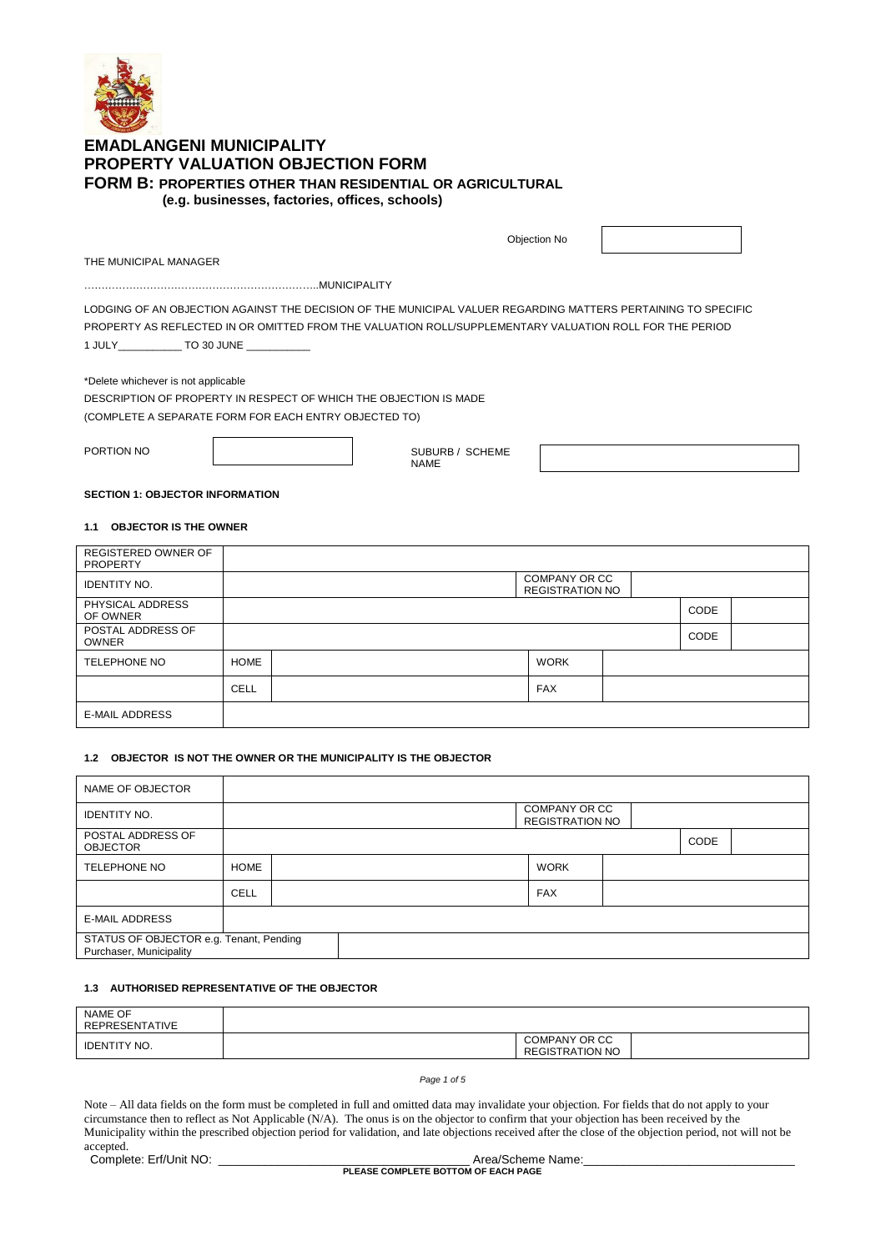

# **EMADLANGENI MUNICIPALITY PROPERTY VALUATION OBJECTION FORM FORM B: PROPERTIES OTHER THAN RESIDENTIAL OR AGRICULTURAL (e.g. businesses, factories, offices, schools)**

Objection No

THE MUNICIPAL MANAGER

…………………………………………………………..MUNICIPALITY

LODGING OF AN OBJECTION AGAINST THE DECISION OF THE MUNICIPAL VALUER REGARDING MATTERS PERTAINING TO SPECIFIC PROPERTY AS REFLECTED IN OR OMITTED FROM THE VALUATION ROLL/SUPPLEMENTARY VALUATION ROLL FOR THE PERIOD 1 JULY\_\_\_\_\_\_\_\_\_\_\_ TO 30 JUNE \_\_\_\_\_\_\_\_\_\_\_

\*Delete whichever is not applicable

DESCRIPTION OF PROPERTY IN RESPECT OF WHICH THE OBJECTION IS MADE (COMPLETE A SEPARATE FORM FOR EACH ENTRY OBJECTED TO)

PORTION NO

SUBURB / SCHEME NAME

# **SECTION 1: OBJECTOR INFORMATION**

### **1.1 OBJECTOR IS THE OWNER**

| <b>REGISTERED OWNER OF</b><br><b>PROPERTY</b> |             |                                         |      |  |
|-----------------------------------------------|-------------|-----------------------------------------|------|--|
| <b>IDENTITY NO.</b>                           |             | COMPANY OR CC<br><b>REGISTRATION NO</b> |      |  |
| PHYSICAL ADDRESS<br>OF OWNER                  |             |                                         | CODE |  |
| POSTAL ADDRESS OF<br><b>OWNER</b>             |             |                                         | CODE |  |
| TELEPHONE NO                                  | <b>HOME</b> | <b>WORK</b>                             |      |  |
|                                               | <b>CELL</b> | <b>FAX</b>                              |      |  |
| <b>E-MAIL ADDRESS</b>                         |             |                                         |      |  |

### **1.2 OBJECTOR IS NOT THE OWNER OR THE MUNICIPALITY IS THE OBJECTOR**

| NAME OF OBJECTOR                                                   |             |  |  |                                         |      |  |
|--------------------------------------------------------------------|-------------|--|--|-----------------------------------------|------|--|
| <b>IDENTITY NO.</b>                                                |             |  |  | COMPANY OR CC<br><b>REGISTRATION NO</b> |      |  |
| POSTAL ADDRESS OF<br><b>OBJECTOR</b>                               |             |  |  |                                         | CODE |  |
| <b>TELEPHONE NO</b>                                                | <b>HOME</b> |  |  | <b>WORK</b>                             |      |  |
|                                                                    | <b>CELL</b> |  |  | <b>FAX</b>                              |      |  |
| <b>E-MAIL ADDRESS</b>                                              |             |  |  |                                         |      |  |
| STATUS OF OBJECTOR e.g. Tenant, Pending<br>Purchaser, Municipality |             |  |  |                                         |      |  |

# **1.3 AUTHORISED REPRESENTATIVE OF THE OBJECTOR**

| NAME OF<br>REPRESENTATIVE |                                         |  |
|---------------------------|-----------------------------------------|--|
| IDENTITY NO.              | COMPANY OR CC<br><b>REGISTRATION NO</b> |  |

#### *Page 1 of 5*

Note – All data fields on the form must be completed in full and omitted data may invalidate your objection. For fields that do not apply to your circumstance then to reflect as Not Applicable (N/A). The onus is on the objector to confirm that your objection has been received by the Municipality within the prescribed objection period for validation, and late objections received after the close of the objection period, not will not be accepted. Complete: Erf/Unit NO: \_\_\_\_\_\_\_\_\_\_\_\_\_\_\_\_\_\_\_\_\_\_\_\_\_\_\_\_\_\_\_\_\_\_\_\_\_\_ Area/Scheme Name:\_\_\_\_\_\_\_\_\_\_\_\_\_\_\_\_\_\_\_\_\_\_\_\_\_\_\_\_\_\_\_\_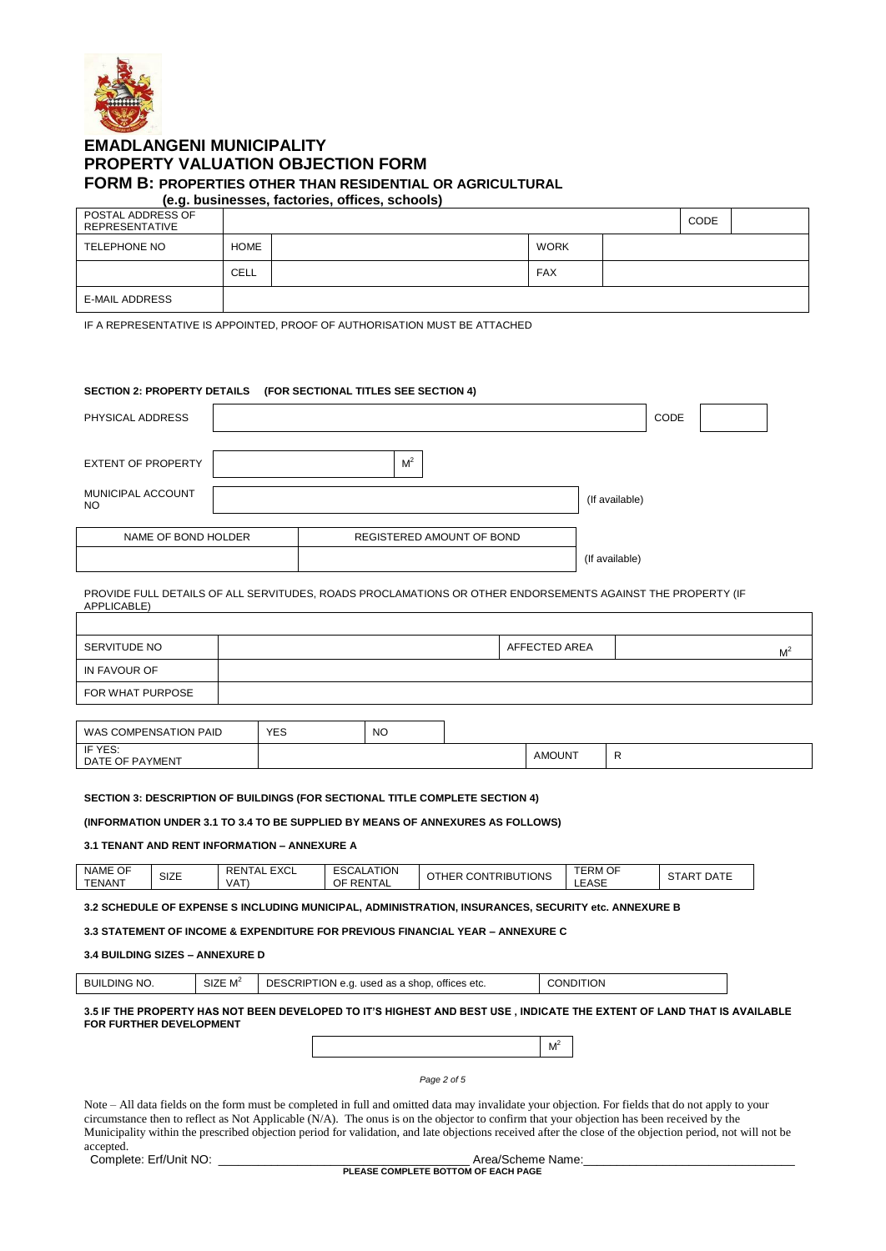

# **EMADLANGENI MUNICIPALITY PROPERTY VALUATION OBJECTION FORM FORM B: PROPERTIES OTHER THAN RESIDENTIAL OR AGRICULTURAL**

|                                     |             | (e.g. businesses, factories, offices, schools) |             |             |  |
|-------------------------------------|-------------|------------------------------------------------|-------------|-------------|--|
| POSTAL ADDRESS OF<br>REPRESENTATIVE |             |                                                |             | <b>CODE</b> |  |
| TELEPHONE NO                        | <b>HOME</b> |                                                | <b>WORK</b> |             |  |
|                                     | CELL        |                                                | <b>FAX</b>  |             |  |
| <b>E-MAIL ADDRESS</b>               |             |                                                |             |             |  |

IF A REPRESENTATIVE IS APPOINTED, PROOF OF AUTHORISATION MUST BE ATTACHED

### **SECTION 2: PROPERTY DETAILS (FOR SECTIONAL TITLES SEE SECTION 4)**

| PHYSICAL ADDRESS               |                           |                | CODE |  |
|--------------------------------|---------------------------|----------------|------|--|
| <b>EXTENT OF PROPERTY</b>      | M <sup>2</sup>            |                |      |  |
| MUNICIPAL ACCOUNT<br><b>NO</b> |                           | (If available) |      |  |
| NAME OF BOND HOLDER            | REGISTERED AMOUNT OF BOND |                |      |  |
|                                |                           | (If available) |      |  |

PROVIDE FULL DETAILS OF ALL SERVITUDES, ROADS PROCLAMATIONS OR OTHER ENDORSEMENTS AGAINST THE PROPERTY (IF APPLICABLE)

| SERVITUDE NO     | AFFECTED AREA | $M^4$ |
|------------------|---------------|-------|
| I IN FAVOUR OF   |               |       |
| FOR WHAT PURPOSE |               |       |

| WAS COMPENSATION PAID      | <b>YES</b><br>$\sim$ | N <sub>O</sub> |               |  |
|----------------------------|----------------------|----------------|---------------|--|
| IF YES:<br>DATE OF PAYMENT |                      |                | <b>AMOUNT</b> |  |

### **SECTION 3: DESCRIPTION OF BUILDINGS (FOR SECTIONAL TITLE COMPLETE SECTION 4)**

## **(INFORMATION UNDER 3.1 TO 3.4 TO BE SUPPLIED BY MEANS OF ANNEXURES AS FOLLOWS)**

#### **3.1 TENANT AND RENT INFORMATION – ANNEXURE A**

|--|

**3.2 SCHEDULE OF EXPENSE S INCLUDING MUNICIPAL, ADMINISTRATION, INSURANCES, SECURITY etc. ANNEXURE B**

**3.3 STATEMENT OF INCOME & EXPENDITURE FOR PREVIOUS FINANCIAL YEAR – ANNEXURE C**

## **3.4 BUILDING SIZES – ANNEXURE D**

| $\sim$<br>LDING NO.<br><b>BUIL</b><br>.<br>SIZE M' | DESCRIPTION e.g.<br>offices etc.<br>used as a shop | TION<br>CONDI. |
|----------------------------------------------------|----------------------------------------------------|----------------|
|----------------------------------------------------|----------------------------------------------------|----------------|

**3.5 IF THE PROPERTY HAS NOT BEEN DEVELOPED TO IT'S HIGHEST AND BEST USE , INDICATE THE EXTENT OF LAND THAT IS AVAILABLE FOR FURTHER DEVELOPMENT**

 $M^2$ 

*Page 2 of 5*

Note – All data fields on the form must be completed in full and omitted data may invalidate your objection. For fields that do not apply to your circumstance then to reflect as Not Applicable (N/A). The onus is on the objector to confirm that your objection has been received by the Municipality within the prescribed objection period for validation, and late objections received after the close of the objection period, not will not be accepted.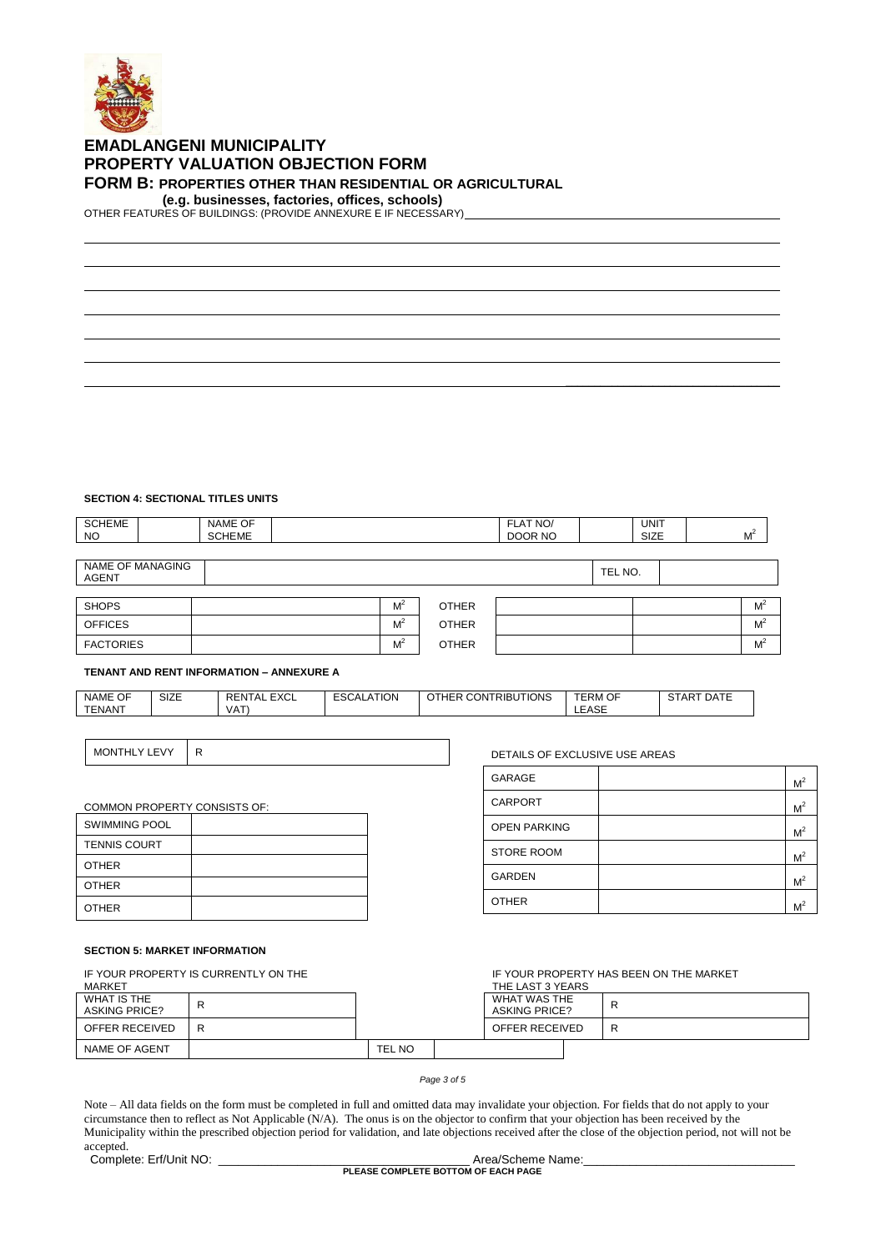

# **EMADLANGENI MUNICIPALITY PROPERTY VALUATION OBJECTION FORM FORM B: PROPERTIES OTHER THAN RESIDENTIAL OR AGRICULTURAL**

 **(e.g. businesses, factories, offices, schools)** 

OTHER FEATURES OF BUILDINGS: (PROVIDE ANNEXURE E IF NECESSARY)

# **SECTION 4: SECTIONAL TITLES UNITS**

| <b>SCHEME</b><br>NO.             | NAME OF<br><b>SCHEME</b> |                |              | FLAT NO/<br>DOOR NO |         | <b>UNIT</b><br>SIZE | M <sup>2</sup> |
|----------------------------------|--------------------------|----------------|--------------|---------------------|---------|---------------------|----------------|
|                                  |                          |                |              |                     |         |                     |                |
| NAME OF MANAGING<br><b>AGENT</b> |                          |                |              |                     | TEL NO. |                     |                |
|                                  |                          |                |              |                     |         |                     |                |
| <b>SHOPS</b>                     |                          | M <sup>2</sup> | <b>OTHER</b> |                     |         |                     | $M^2$          |
| <b>OFFICES</b>                   |                          | $M^2$          | <b>OTHER</b> |                     |         |                     | M <sup>2</sup> |
| <b>FACTORIES</b>                 |                          | M <sup>2</sup> | <b>OTHER</b> |                     |         |                     | M <sup>2</sup> |

#### **TENANT AND RENT INFORMATION – ANNEXURE A**

| OF<br>NAME    | $\sim$<br>SIZE | $\Gamma$ $\vee$ $\cap$<br>FМ<br>$\mathbf{v}$<br>. LAUL<br>$\mathbf{u}$ | <b>ATION</b><br>$\mathbf{v}$<br>-JUALA | <b>CONTRIBUTIONS</b><br>THER<br>U∪N ' | <b>TERM OF</b> | $\sim$ $ -$<br>$\overline{ }$<br>DATE<br>STAP |
|---------------|----------------|------------------------------------------------------------------------|----------------------------------------|---------------------------------------|----------------|-----------------------------------------------|
| <b>TENANT</b> |                | VAT                                                                    |                                        |                                       | LEASE          |                                               |
|               |                |                                                                        |                                        |                                       |                |                                               |

MONTHLY LEVY R CONTROL CONTROL CONTROL CONTROL DETAILS OF EXCLUSIVE USE AREAS

| GARAGE              | M <sup>2</sup> |
|---------------------|----------------|
| <b>CARPORT</b>      | M <sup>2</sup> |
| <b>OPEN PARKING</b> | M <sup>2</sup> |
| <b>STORE ROOM</b>   | M <sup>2</sup> |
| <b>GARDEN</b>       | M <sup>2</sup> |
| <b>OTHER</b>        | M <sup>2</sup> |

IF YOUR PROPERTY HAS BEEN ON THE MARKET

 $\mathcal{L}_\text{max}$  and  $\mathcal{L}_\text{max}$  and  $\mathcal{L}_\text{max}$  and  $\mathcal{L}_\text{max}$ 

# COMMON PROPERTY CONSISTS OF: SWIMMING POOL

| <b>TENNIS COURT</b> |  |
|---------------------|--|
| <b>OTHER</b>        |  |
| <b>OTHER</b>        |  |
| <b>OTHER</b>        |  |

# **SECTION 5: MARKET INFORMATION**

IF YOUR PROPERTY IS CURRENTLY ON THE

| MARKET                              |   |               | THE LAST 3 YEARS                     |   |
|-------------------------------------|---|---------------|--------------------------------------|---|
| WHAT IS THE<br><b>ASKING PRICE?</b> | R |               | WHAT WAS THE<br><b>ASKING PRICE?</b> | ĸ |
| OFFER RECEIVED                      | R |               | OFFER RECEIVED                       | D |
| NAME OF AGENT                       |   | <b>TEL NO</b> |                                      |   |

#### *Page 3 of 5*

Note – All data fields on the form must be completed in full and omitted data may invalidate your objection. For fields that do not apply to your circumstance then to reflect as Not Applicable (N/A). The onus is on the objector to confirm that your objection has been received by the Municipality within the prescribed objection period for validation, and late objections received after the close of the objection period, not will not be accepted.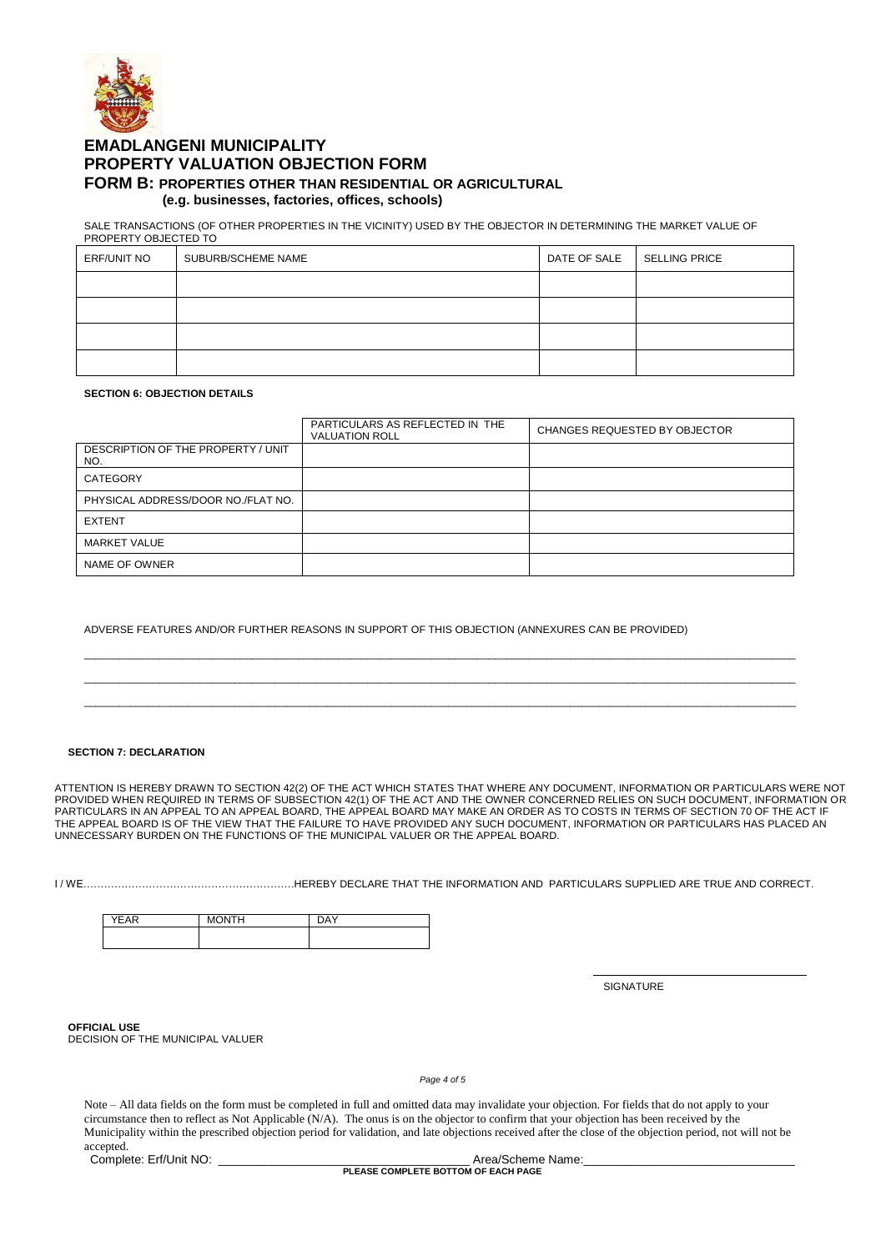

# **EMADLANGENI MUNICIPALITY PROPERTY VALUATION OBJECTION FORM FORM B: PROPERTIES OTHER THAN RESIDENTIAL OR AGRICULTURAL (e.g. businesses, factories, offices, schools)**

SALE TRANSACTIONS (OF OTHER PROPERTIES IN THE VICINITY) USED BY THE OBJECTOR IN DETERMINING THE MARKET VALUE OF

| PROPERTY OBJECTED TO |                    |              |                      |  |  |
|----------------------|--------------------|--------------|----------------------|--|--|
| ERF/UNIT NO          | SUBURB/SCHEME NAME | DATE OF SALE | <b>SELLING PRICE</b> |  |  |
|                      |                    |              |                      |  |  |
|                      |                    |              |                      |  |  |
|                      |                    |              |                      |  |  |
|                      |                    |              |                      |  |  |

#### **SECTION 6: OBJECTION DETAILS**

|                                           | PARTICULARS AS REFLECTED IN THE<br><b>VALUATION ROLL</b> | CHANGES REQUESTED BY OBJECTOR |
|-------------------------------------------|----------------------------------------------------------|-------------------------------|
| DESCRIPTION OF THE PROPERTY / UNIT<br>NO. |                                                          |                               |
| CATEGORY                                  |                                                          |                               |
| PHYSICAL ADDRESS/DOOR NO./FLAT NO.        |                                                          |                               |
| <b>EXTENT</b>                             |                                                          |                               |
| <b>MARKET VALUE</b>                       |                                                          |                               |
| NAME OF OWNER                             |                                                          |                               |

\_\_\_\_\_\_\_\_\_\_\_\_\_\_\_\_\_\_\_\_\_\_\_\_\_\_\_\_\_\_\_\_\_\_\_\_\_\_\_\_\_\_\_\_\_\_\_\_\_\_\_\_\_\_\_\_\_\_\_\_\_\_\_\_\_\_\_\_\_\_\_\_\_\_\_\_\_\_\_\_\_\_\_\_\_\_\_\_\_\_\_\_\_\_\_\_\_\_\_\_\_\_\_\_\_\_\_\_\_\_\_\_\_\_\_\_\_\_\_\_\_\_\_ \_\_\_\_\_\_\_\_\_\_\_\_\_\_\_\_\_\_\_\_\_\_\_\_\_\_\_\_\_\_\_\_\_\_\_\_\_\_\_\_\_\_\_\_\_\_\_\_\_\_\_\_\_\_\_\_\_\_\_\_\_\_\_\_\_\_\_\_\_\_\_\_\_\_\_\_\_\_\_\_\_\_\_\_\_\_\_\_\_\_\_\_\_\_\_\_\_\_\_\_\_\_\_\_\_\_\_\_\_\_\_\_\_\_\_\_\_\_\_\_\_\_\_ \_\_\_\_\_\_\_\_\_\_\_\_\_\_\_\_\_\_\_\_\_\_\_\_\_\_\_\_\_\_\_\_\_\_\_\_\_\_\_\_\_\_\_\_\_\_\_\_\_\_\_\_\_\_\_\_\_\_\_\_\_\_\_\_\_\_\_\_\_\_\_\_\_\_\_\_\_\_\_\_\_\_\_\_\_\_\_\_\_\_\_\_\_\_\_\_\_\_\_\_\_\_\_\_\_\_\_\_\_\_\_\_\_\_\_\_\_\_\_\_\_\_\_

ADVERSE FEATURES AND/OR FURTHER REASONS IN SUPPORT OF THIS OBJECTION (ANNEXURES CAN BE PROVIDED)

#### **SECTION 7: DECLARATION**

ATTENTION IS HEREBY DRAWN TO SECTION 42(2) OF THE ACT WHICH STATES THAT WHERE ANY DOCUMENT, INFORMATION OR PARTICULARS WERE NOT PROVIDED WHEN REQUIRED IN TERMS OF SUBSECTION 42(1) OF THE ACT AND THE OWNER CONCERNED RELIES ON SUCH DOCUMENT, INFORMATION OR PARTICULARS IN AN APPEAL TO AN APPEAL BOARD, THE APPEAL BOARD MAY MAKE AN ORDER AS TO COSTS IN TERMS OF SECTION 70 OF THE ACT IF THE APPEAL BOARD IS OF THE VIEW THAT THE FAILURE TO HAVE PROVIDED ANY SUCH DOCUMENT, INFORMATION OR PARTICULARS HAS PLACED AN UNNECESSARY BURDEN ON THE FUNCTIONS OF THE MUNICIPAL VALUER OR THE APPEAL BOARD.

I / WE…………………………………………………….HEREBY DECLARE THAT THE INFORMATION AND PARTICULARS SUPPLIED ARE TRUE AND CORRECT.

| $ \sim$<br>∍ | $\sim$ | ---<br>١Δ |
|--------------|--------|-----------|
|              |        |           |
|              |        |           |

**SIGNATURE** 

**OFFICIAL USE**

DECISION OF THE MUNICIPAL VALUER

*Page 4 of 5*

Note – All data fields on the form must be completed in full and omitted data may invalidate your objection. For fields that do not apply to your circumstance then to reflect as Not Applicable (N/A). The onus is on the objector to confirm that your objection has been received by the Municipality within the prescribed objection period for validation, and late objections received after the close of the objection period, not will not be accepted. Complete: Erf/Unit NO: \_\_\_\_\_\_\_\_\_\_\_\_\_\_\_\_\_\_\_\_\_\_\_\_\_\_\_\_\_\_\_\_\_\_\_\_\_\_ Area/Scheme Name:\_\_\_\_\_\_\_\_\_\_\_\_\_\_\_\_\_\_\_\_\_\_\_\_\_\_\_\_\_\_\_\_